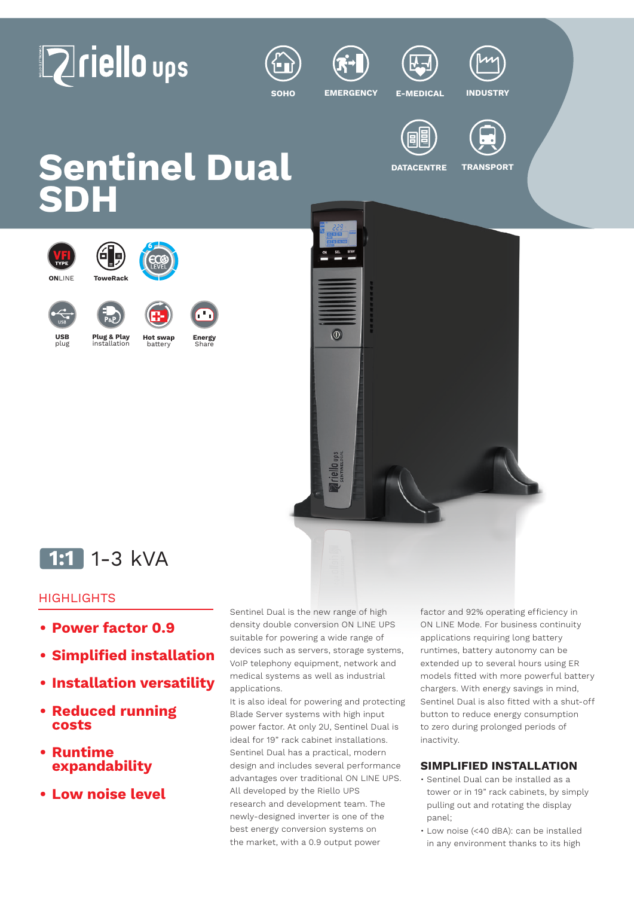# **Zriello** ups







**SOHO EMERGENCY E-MEDICAL INDUSTRY**



**DATACENTRE TRANSPORT**

**Sentinel Dual SDH**





# **1:1** 1-3 kVA

# **HIGHLIGHTS**

- **• Power factor 0.9**
- **• Simplified installation**
- **• Installation versatility**
- **• Reduced running costs**
- **• Runtime expandability**
- **• Low noise level**

Sentinel Dual is the new range of high density double conversion ON LINE UPS suitable for powering a wide range of devices such as servers, storage systems, VoIP telephony equipment, network and medical systems as well as industrial applications.

It is also ideal for powering and protecting Blade Server systems with high input power factor. At only 2U, Sentinel Dual is ideal for 19" rack cabinet installations. Sentinel Dual has a practical, modern design and includes several performance advantages over traditional ON LINE UPS. All developed by the Riello UPS research and development team. The newly-designed inverter is one of the best energy conversion systems on the market, with a 0.9 output power

factor and 92% operating efficiency in ON LINE Mode. For business continuity applications requiring long battery runtimes, battery autonomy can be extended up to several hours using ER models fitted with more powerful battery chargers. With energy savings in mind, Sentinel Dual is also fitted with a shut-off button to reduce energy consumption to zero during prolonged periods of inactivity.

# **SIMPLIFIED INSTALLATION**

- Sentinel Dual can be installed as a tower or in 19" rack cabinets, by simply pulling out and rotating the display panel;
- Low noise (<40 dBA): can be installed in any environment thanks to its high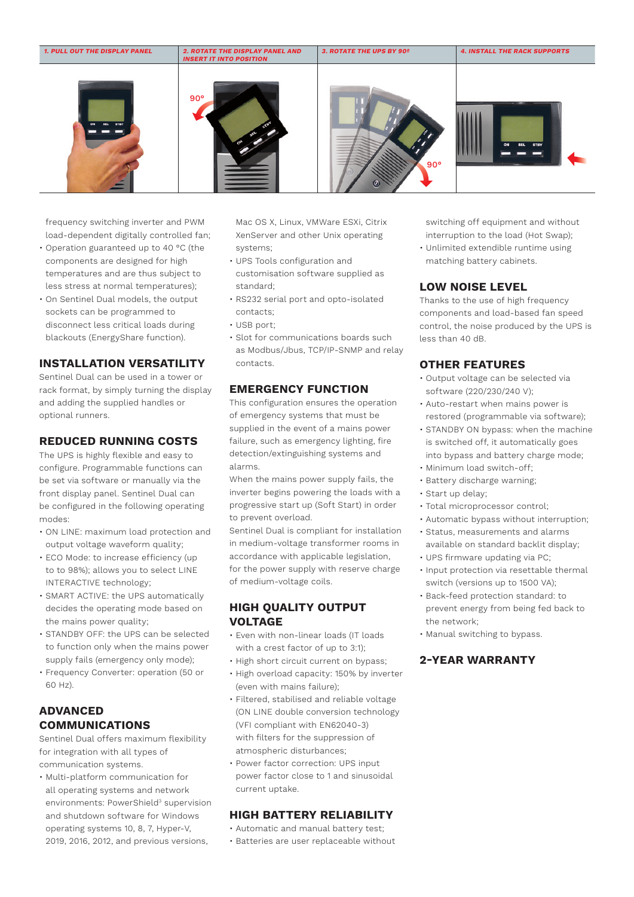

frequency switching inverter and PWM load-dependent digitally controlled fan;

- Operation guaranteed up to 40 °C (the components are designed for high temperatures and are thus subject to less stress at normal temperatures);
- On Sentinel Dual models, the output sockets can be programmed to disconnect less critical loads during blackouts (EnergyShare function).

#### **INSTALLATION VERSATILITY**

Sentinel Dual can be used in a tower or rack format, by simply turning the display and adding the supplied handles or optional runners.

#### **REDUCED RUNNING COSTS**

The UPS is highly flexible and easy to configure. Programmable functions can be set via software or manually via the front display panel. Sentinel Dual can be configured in the following operating modes:

- ON LINE: maximum load protection and output voltage waveform quality;
- ECO Mode: to increase efficiency (up to to 98%); allows you to select LINE INTERACTIVE technology;
- SMART ACTIVE: the UPS automatically decides the operating mode based on the mains power quality;
- STANDBY OFF: the UPS can be selected to function only when the mains power supply fails (emergency only mode);
- Frequency Converter: operation (50 or 60 Hz).

# **ADVANCED COMMUNICATIONS**

Sentinel Dual offers maximum flexibility for integration with all types of communication systems.

• Multi-platform communication for all operating systems and network environments: PowerShield<sup>3</sup> supervision and shutdown software for Windows operating systems 10, 8, 7, Hyper-V, 2019, 2016, 2012, and previous versions,

Mac OS X, Linux, VMWare ESXi, Citrix XenServer and other Unix operating systems;

- UPS Tools configuration and customisation software supplied as standard;
- RS232 serial port and opto-isolated contacts;
- $\cdot$  USB port;
- Slot for communications boards such as Modbus/Jbus, TCP/IP-SNMP and relay contacts.

#### **EMERGENCY FUNCTION**

This configuration ensures the operation of emergency systems that must be supplied in the event of a mains power failure, such as emergency lighting, fire detection/extinguishing systems and alarms.

When the mains power supply fails, the inverter begins powering the loads with a progressive start up (Soft Start) in order to prevent overload.

Sentinel Dual is compliant for installation in medium-voltage transformer rooms in accordance with applicable legislation, for the power supply with reserve charge of medium-voltage coils.

#### **HIGH QUALITY OUTPUT VOLTAGE**

- Even with non-linear loads (IT loads with a crest factor of up to 3:1);
- High short circuit current on bypass;
- High overload capacity: 150% by inverter (even with mains failure);
- Filtered, stabilised and reliable voltage (ON LINE double conversion technology (VFI compliant with EN62040-3) with filters for the suppression of atmospheric disturbances;
- Power factor correction: UPS input power factor close to 1 and sinusoidal current uptake.

#### **HIGH BATTERY RELIABILITY**

- Automatic and manual battery test;
- Batteries are user replaceable without

switching off equipment and without interruption to the load (Hot Swap);

• Unlimited extendible runtime using matching battery cabinets.

#### **LOW NOISE LEVEL**

Thanks to the use of high frequency components and load-based fan speed control, the noise produced by the UPS is less than 40 dB.

#### **OTHER FEATURES**

- Output voltage can be selected via software (220/230/240 V);
- Auto-restart when mains power is restored (programmable via software);
- STANDBY ON bypass: when the machine is switched off, it automatically goes into bypass and battery charge mode;
- Minimum load switch-off;
- Battery discharge warning;
- Start up delay;
- Total microprocessor control;
- Automatic bypass without interruption;
- Status, measurements and alarms
- available on standard backlit display; • UPS firmware updating via PC;
- Input protection via resettable thermal switch (versions up to 1500 VA);
- Back-feed protection standard: to prevent energy from being fed back to the network;
- Manual switching to bypass.

#### **2-YEAR WARRANTY**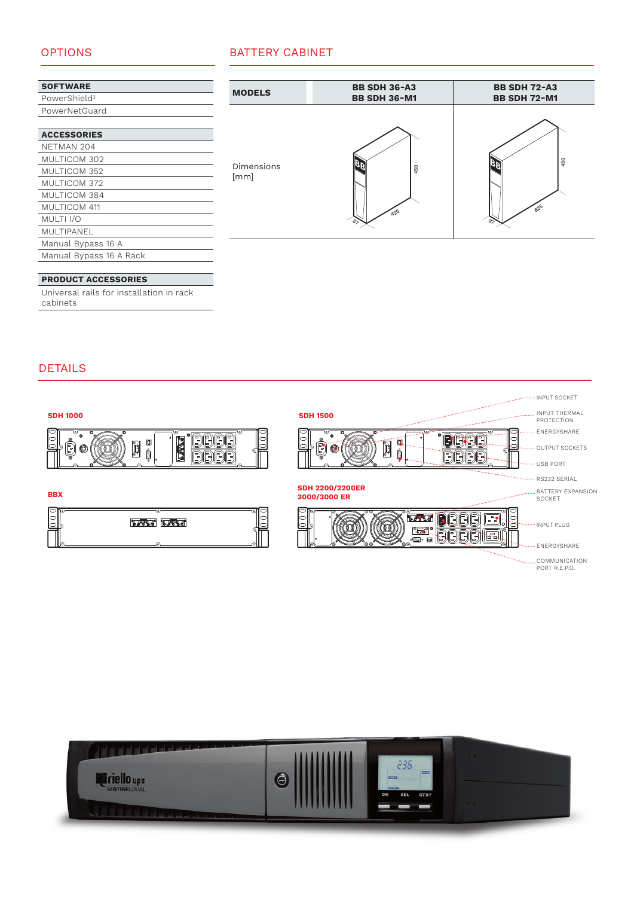# OPTIONS

| <b>SOFTWARE</b>           |
|---------------------------|
| PowerShield <sup>3</sup>  |
| PowerNetGuard             |
|                           |
| <i><b>ACCECCODIEC</b></i> |

| AGGESSUNIES             |
|-------------------------|
| NETMAN 204              |
| MULTICOM 302            |
| MULTICOM 352            |
| MULTICOM 372            |
| MULTICOM 384            |
| MULTICOM 411            |
| MULTI <sub>I/O</sub>    |
| MULTIPANEL              |
| Manual Bypass 16 A      |
| Manual Bypass 16 A Rack |
|                         |

#### **PRODUCT ACCESSORIES**

Universal rails for installation in rack cabinets

|--|



## DETAILS